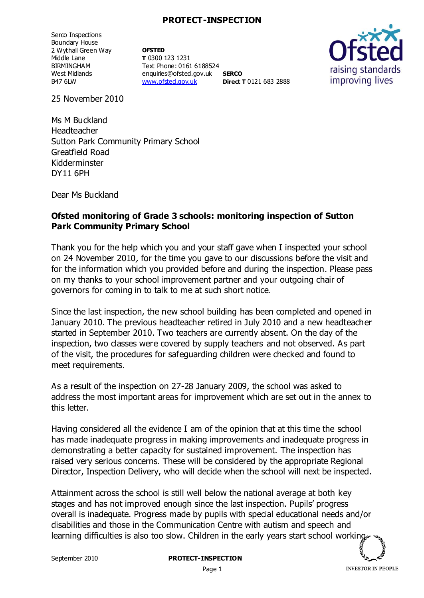## **PROTECT-INSPECTION**

Serco Inspections Boundary House 2 Wythall Green Way Middle Lane BIRMINGHAM West Midlands B47 6LW

**OFSTED T** 0300 123 1231 Text Phone: 0161 6188524 enquiries@ofsted.gov.uk **SERCO** [www.ofsted.gov.uk](http://www.ofsted.gov.uk/) **Direct T** 0121 683 2888



25 November 2010

Ms M Buckland Headteacher Sutton Park Community Primary School Greatfield Road Kidderminster DY11 6PH

Dear Ms Buckland

## **Ofsted monitoring of Grade 3 schools: monitoring inspection of Sutton Park Community Primary School**

Thank you for the help which you and your staff gave when I inspected your school on 24 November 2010, for the time you gave to our discussions before the visit and for the information which you provided before and during the inspection. Please pass on my thanks to your school improvement partner and your outgoing chair of governors for coming in to talk to me at such short notice.

Since the last inspection, the new school building has been completed and opened in January 2010. The previous headteacher retired in July 2010 and a new headteacher started in September 2010. Two teachers are currently absent. On the day of the inspection, two classes were covered by supply teachers and not observed. As part of the visit, the procedures for safeguarding children were checked and found to meet requirements.

As a result of the inspection on 27-28 January 2009, the school was asked to address the most important areas for improvement which are set out in the annex to this letter.

Having considered all the evidence I am of the opinion that at this time the school has made inadequate progress in making improvements and inadequate progress in demonstrating a better capacity for sustained improvement. The inspection has raised very serious concerns. These will be considered by the appropriate Regional Director, Inspection Delivery, who will decide when the school will next be inspected.

Attainment across the school is still well below the national average at both key stages and has not improved enough since the last inspection. Pupils' progress overall is inadequate. Progress made by pupils with special educational needs and/or disabilities and those in the Communication Centre with autism and speech and learning difficulties is also too slow. Children in the early years start school working

Page 1

**INVESTOR IN PEOPLE**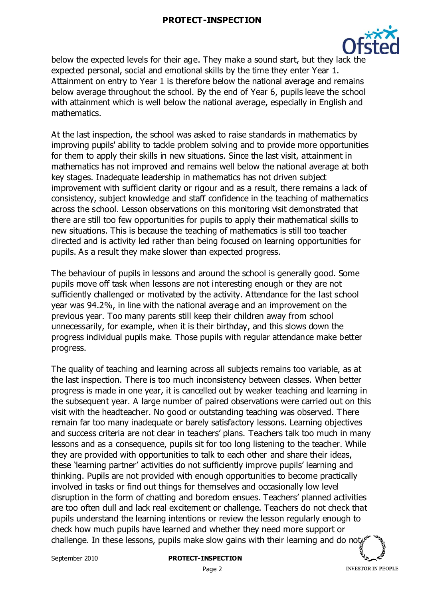

below the expected levels for their age. They make a sound start, but they lack the expected personal, social and emotional skills by the time they enter Year 1. Attainment on entry to Year 1 is therefore below the national average and remains below average throughout the school. By the end of Year 6, pupils leave the school with attainment which is well below the national average, especially in English and mathematics.

At the last inspection, the school was asked to raise standards in mathematics by improving pupils' ability to tackle problem solving and to provide more opportunities for them to apply their skills in new situations. Since the last visit, attainment in mathematics has not improved and remains well below the national average at both key stages. Inadequate leadership in mathematics has not driven subject improvement with sufficient clarity or rigour and as a result, there remains a lack of consistency, subject knowledge and staff confidence in the teaching of mathematics across the school. Lesson observations on this monitoring visit demonstrated that there are still too few opportunities for pupils to apply their mathematical skills to new situations. This is because the teaching of mathematics is still too teacher directed and is activity led rather than being focused on learning opportunities for pupils. As a result they make slower than expected progress.

The behaviour of pupils in lessons and around the school is generally good. Some pupils move off task when lessons are not interesting enough or they are not sufficiently challenged or motivated by the activity. Attendance for the last school year was 94.2%, in line with the national average and an improvement on the previous year. Too many parents still keep their children away from school unnecessarily, for example, when it is their birthday, and this slows down the progress individual pupils make. Those pupils with regular attendance make better progress.

The quality of teaching and learning across all subjects remains too variable, as at the last inspection. There is too much inconsistency between classes. When better progress is made in one year, it is cancelled out by weaker teaching and learning in the subsequent year. A large number of paired observations were carried out on this visit with the headteacher. No good or outstanding teaching was observed. There remain far too many inadequate or barely satisfactory lessons. Learning objectives and success criteria are not clear in teachers' plans. Teachers talk too much in many lessons and as a consequence, pupils sit for too long listening to the teacher. While they are provided with opportunities to talk to each other and share their ideas, these 'learning partner' activities do not sufficiently improve pupils' learning and thinking. Pupils are not provided with enough opportunities to become practically involved in tasks or find out things for themselves and occasionally low level disruption in the form of chatting and boredom ensues. Teachers' planned activities are too often dull and lack real excitement or challenge. Teachers do not check that pupils understand the learning intentions or review the lesson regularly enough to check how much pupils have learned and whether they need more support or challenge. In these lessons, pupils make slow gains with their learning and do not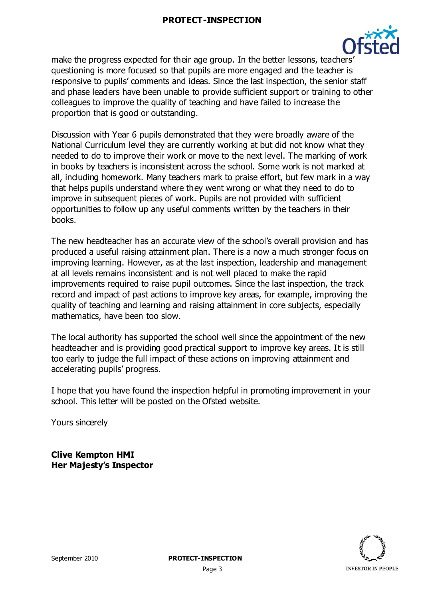

make the progress expected for their age group. In the better lessons, teachers' questioning is more focused so that pupils are more engaged and the teacher is responsive to pupils' comments and ideas. Since the last inspection, the senior staff and phase leaders have been unable to provide sufficient support or training to other colleagues to improve the quality of teaching and have failed to increase the proportion that is good or outstanding.

Discussion with Year 6 pupils demonstrated that they were broadly aware of the National Curriculum level they are currently working at but did not know what they needed to do to improve their work or move to the next level. The marking of work in books by teachers is inconsistent across the school. Some work is not marked at all, including homework. Many teachers mark to praise effort, but few mark in a way that helps pupils understand where they went wrong or what they need to do to improve in subsequent pieces of work. Pupils are not provided with sufficient opportunities to follow up any useful comments written by the teachers in their books.

The new headteacher has an accurate view of the school's overall provision and has produced a useful raising attainment plan. There is a now a much stronger focus on improving learning. However, as at the last inspection, leadership and management at all levels remains inconsistent and is not well placed to make the rapid improvements required to raise pupil outcomes. Since the last inspection, the track record and impact of past actions to improve key areas, for example, improving the quality of teaching and learning and raising attainment in core subjects, especially mathematics, have been too slow.

The local authority has supported the school well since the appointment of the new headteacher and is providing good practical support to improve key areas. It is still too early to judge the full impact of these actions on improving attainment and accelerating pupils' progress.

I hope that you have found the inspection helpful in promoting improvement in your school. This letter will be posted on the Ofsted website.

Yours sincerely

**Clive Kempton HMI Her Majesty's Inspector**